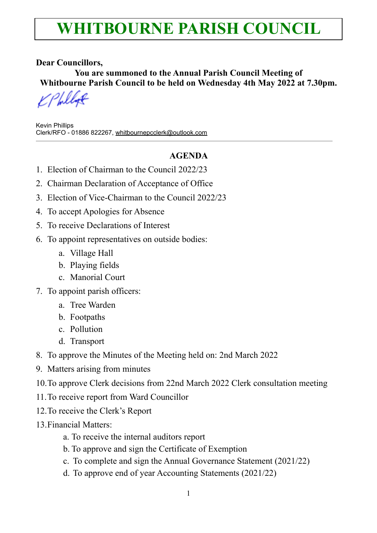## **WHITBOURNE PARISH COUNCIL**

#### **Dear Councillors,**

**You are summoned to the Annual Parish Council Meeting of Whitbourne Parish Council to be held on Wednesday 4th May 2022 at 7.30pm.** 

Kevin Phillips Clerk/RFO - 01886 822267, [whitbournepcclerk@outlook.com](mailto:whitbournepcclerk@outlook.com)

### **AGENDA**

- 1. Election of Chairman to the Council 2022/23
- 2. Chairman Declaration of Acceptance of Office
- 3. Election of Vice-Chairman to the Council 2022/23
- 4. To accept Apologies for Absence
- 5. To receive Declarations of Interest
- 6. To appoint representatives on outside bodies:
	- a. Village Hall
	- b. Playing fields
	- c. Manorial Court
- 7. To appoint parish officers:
	- a. Tree Warden
	- b. Footpaths
	- c. Pollution
	- d. Transport
- 8. To approve the Minutes of the Meeting held on: 2nd March 2022
- 9. Matters arising from minutes
- 10.To approve Clerk decisions from 22nd March 2022 Clerk consultation meeting
- 11.To receive report from Ward Councillor
- 12.To receive the Clerk's Report
- 13.Financial Matters:
	- a. To receive the internal auditors report
	- b. To approve and sign the Certificate of Exemption
	- c. To complete and sign the Annual Governance Statement (2021/22)
	- d. To approve end of year Accounting Statements (2021/22)